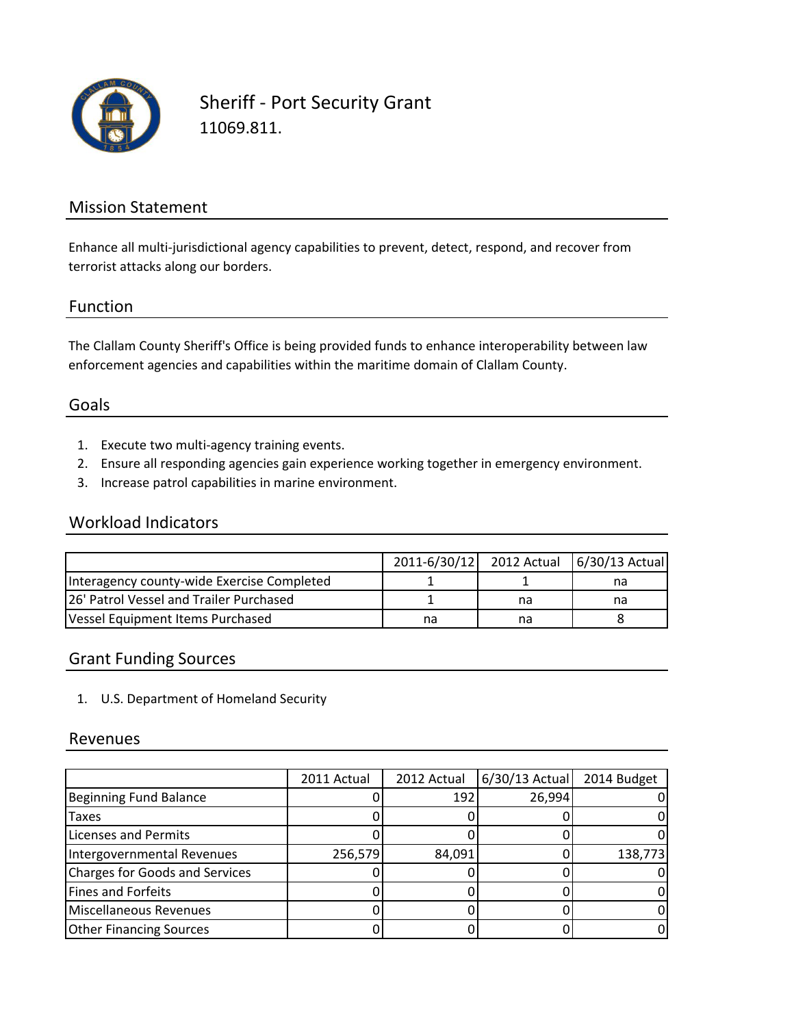

Sheriff - Port Security Grant 11069.811.

### Mission Statement

Enhance all multi-jurisdictional agency capabilities to prevent, detect, respond, and recover from terrorist attacks along our borders.

#### Function

The Clallam County Sheriff's Office is being provided funds to enhance interoperability between law enforcement agencies and capabilities within the maritime domain of Clallam County.

## Goals

- 1. Execute two multi-agency training events.
- 2. Ensure all responding agencies gain experience working together in emergency environment.
- 3. Increase patrol capabilities in marine environment.

#### Workload Indicators

|                                            |    |    | 2011-6/30/12 2012 Actual 6/30/13 Actual |
|--------------------------------------------|----|----|-----------------------------------------|
| Interagency county-wide Exercise Completed |    |    | na                                      |
| 26' Patrol Vessel and Trailer Purchased    |    | na | na                                      |
| Vessel Equipment Items Purchased           | na | na |                                         |

## Grant Funding Sources

1. U.S. Department of Homeland Security

#### Revenues

|                                       | 2011 Actual | 2012 Actual | 6/30/13 Actual | 2014 Budget |
|---------------------------------------|-------------|-------------|----------------|-------------|
| Beginning Fund Balance                |             | 192         | 26,994         |             |
| <b>Taxes</b>                          |             |             |                |             |
| <b>Licenses and Permits</b>           |             |             |                |             |
| Intergovernmental Revenues            | 256,579     | 84,091      |                | 138,773     |
| <b>Charges for Goods and Services</b> |             |             |                |             |
| Fines and Forfeits                    |             |             |                |             |
| Miscellaneous Revenues                |             |             |                |             |
| <b>Other Financing Sources</b>        |             |             |                |             |